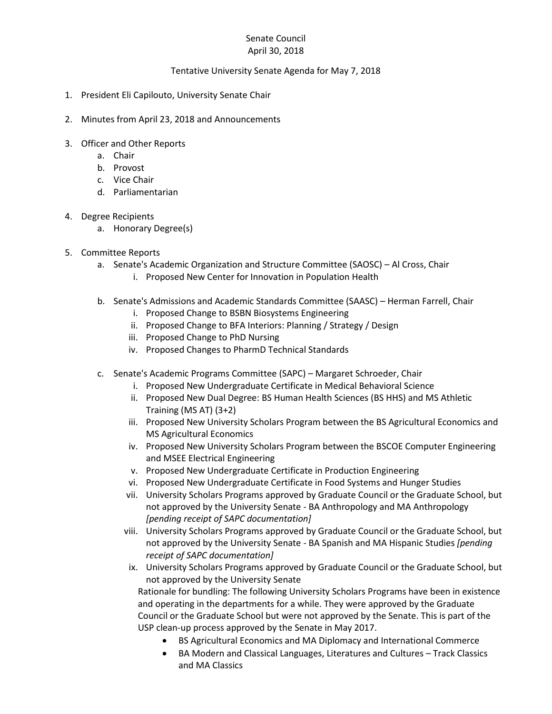## Senate Council April 30, 2018

## Tentative University Senate Agenda for May 7, 2018

- 1. President Eli Capilouto, University Senate Chair
- 2. Minutes from April 23, 2018 and Announcements
- 3. Officer and Other Reports
	- a. Chair
	- b. Provost
	- c. Vice Chair
	- d. Parliamentarian
- 4. Degree Recipients
	- a. Honorary Degree(s)
- 5. Committee Reports
	- a. Senate's Academic Organization and Structure Committee (SAOSC) Al Cross, Chair
		- i. Proposed New Center for Innovation in Population Health
	- b. Senate's Admissions and Academic Standards Committee (SAASC) Herman Farrell, Chair
		- i. Proposed Change to BSBN Biosystems Engineering
		- ii. Proposed Change to BFA Interiors: Planning / Strategy / Design
		- iii. Proposed Change to PhD Nursing
		- iv. Proposed Changes to PharmD Technical Standards
	- c. Senate's Academic Programs Committee (SAPC) Margaret Schroeder, Chair
		- i. Proposed New Undergraduate Certificate in Medical Behavioral Science
		- ii. Proposed New Dual Degree: BS Human Health Sciences (BS HHS) and MS Athletic Training (MS AT) (3+2)
		- iii. Proposed New University Scholars Program between the BS Agricultural Economics and MS Agricultural Economics
		- iv. Proposed New University Scholars Program between the BSCOE Computer Engineering and MSEE Electrical Engineering
		- v. Proposed New Undergraduate Certificate in Production Engineering
		- vi. Proposed New Undergraduate Certificate in Food Systems and Hunger Studies
		- vii. University Scholars Programs approved by Graduate Council or the Graduate School, but not approved by the University Senate - BA Anthropology and MA Anthropology *[pending receipt of SAPC documentation]*
		- viii. University Scholars Programs approved by Graduate Council or the Graduate School, but not approved by the University Senate - BA Spanish and MA Hispanic Studies *[pending receipt of SAPC documentation]*
		- ix. University Scholars Programs approved by Graduate Council or the Graduate School, but not approved by the University Senate

Rationale for bundling: The following University Scholars Programs have been in existence and operating in the departments for a while. They were approved by the Graduate Council or the Graduate School but were not approved by the Senate. This is part of the USP clean-up process approved by the Senate in May 2017.

- BS Agricultural Economics and MA Diplomacy and International Commerce
- BA Modern and Classical Languages, Literatures and Cultures Track Classics and MA Classics